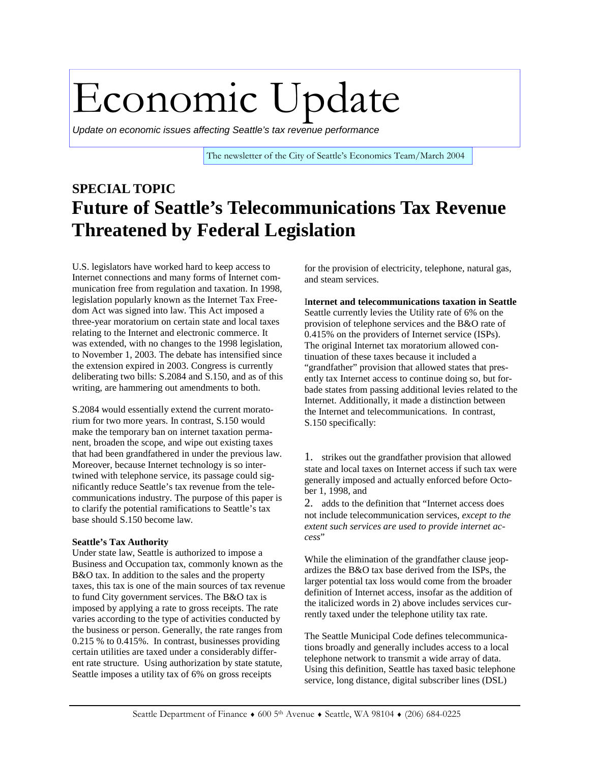# Economic Update

*Update on economic issues affecting Seattle's tax revenue performance* 

The newsletter of the City of Seattle's Economics Team/March 2004

### **SPECIAL TOPIC Future of Seattle's Telecommunications Tax Revenue Threatened by Federal Legislation**

U.S. legislators have worked hard to keep access to Internet connections and many forms of Internet communication free from regulation and taxation. In 1998, legislation popularly known as the Internet Tax Freedom Act was signed into law. This Act imposed a three-year moratorium on certain state and local taxes relating to the Internet and electronic commerce. It was extended, with no changes to the 1998 legislation, to November 1, 2003. The debate has intensified since the extension expired in 2003. Congress is currently deliberating two bills: S.2084 and S.150, and as of this writing, are hammering out amendments to both.

S.2084 would essentially extend the current moratorium for two more years. In contrast, S.150 would make the temporary ban on internet taxation permanent, broaden the scope, and wipe out existing taxes that had been grandfathered in under the previous law. Moreover, because Internet technology is so intertwined with telephone service, its passage could significantly reduce Seattle's tax revenue from the telecommunications industry. The purpose of this paper is to clarify the potential ramifications to Seattle's tax base should S.150 become law.

#### **Seattle's Tax Authority**

Under state law, Seattle is authorized to impose a Business and Occupation tax, commonly known as the B&O tax. In addition to the sales and the property taxes, this tax is one of the main sources of tax revenue to fund City government services. The B&O tax is imposed by applying a rate to gross receipts. The rate varies according to the type of activities conducted by the business or person. Generally, the rate ranges from 0.215 % to 0.415%. In contrast, businesses providing certain utilities are taxed under a considerably different rate structure. Using authorization by state statute, Seattle imposes a utility tax of 6% on gross receipts

for the provision of electricity, telephone, natural gas, and steam services.

I**nternet and telecommunications taxation in Seattle**  Seattle currently levies the Utility rate of 6% on the provision of telephone services and the B&O rate of 0.415% on the providers of Internet service (ISPs). The original Internet tax moratorium allowed continuation of these taxes because it included a "grandfather" provision that allowed states that presently tax Internet access to continue doing so, but forbade states from passing additional levies related to the Internet. Additionally, it made a distinction between the Internet and telecommunications. In contrast, S.150 specifically:

1. strikes out the grandfather provision that allowed state and local taxes on Internet access if such tax were generally imposed and actually enforced before October 1, 1998, and

2. adds to the definition that "Internet access does not include telecommunication services, *except to the extent such services are used to provide internet access*"

While the elimination of the grandfather clause jeopardizes the B&O tax base derived from the ISPs, the larger potential tax loss would come from the broader definition of Internet access, insofar as the addition of the italicized words in 2) above includes services currently taxed under the telephone utility tax rate.

The Seattle Municipal Code defines telecommunications broadly and generally includes access to a local telephone network to transmit a wide array of data. Using this definition, Seattle has taxed basic telephone service, long distance, digital subscriber lines (DSL)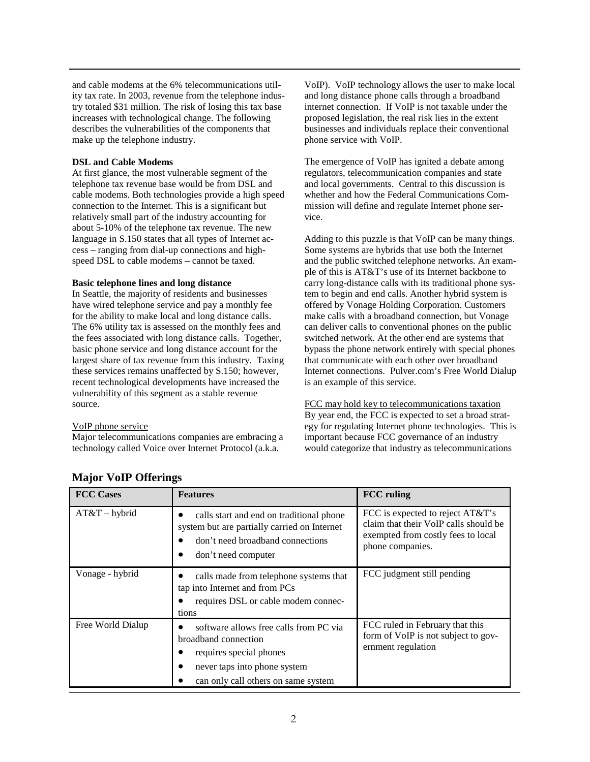and cable modems at the 6% telecommunications utility tax rate. In 2003, revenue from the telephone industry totaled \$31 million. The risk of losing this tax base increases with technological change. The following describes the vulnerabilities of the components that make up the telephone industry.

#### **DSL and Cable Modems**

At first glance, the most vulnerable segment of the telephone tax revenue base would be from DSL and cable modems. Both technologies provide a high speed connection to the Internet. This is a significant but relatively small part of the industry accounting for about 5-10% of the telephone tax revenue. The new language in S.150 states that all types of Internet access – ranging from dial-up connections and highspeed DSL to cable modems – cannot be taxed.

#### **Basic telephone lines and long distance**

In Seattle, the majority of residents and businesses have wired telephone service and pay a monthly fee for the ability to make local and long distance calls. The 6% utility tax is assessed on the monthly fees and the fees associated with long distance calls. Together, basic phone service and long distance account for the largest share of tax revenue from this industry. Taxing these services remains unaffected by S.150; however, recent technological developments have increased the vulnerability of this segment as a stable revenue source.

#### VoIP phone service

Major telecommunications companies are embracing a technology called Voice over Internet Protocol (a.k.a.

VoIP). VoIP technology allows the user to make local and long distance phone calls through a broadband internet connection. If VoIP is not taxable under the proposed legislation, the real risk lies in the extent businesses and individuals replace their conventional phone service with VoIP.

The emergence of VoIP has ignited a debate among regulators, telecommunication companies and state and local governments. Central to this discussion is whether and how the Federal Communications Commission will define and regulate Internet phone service.

Adding to this puzzle is that VoIP can be many things. Some systems are hybrids that use both the Internet and the public switched telephone networks. An example of this is AT&T's use of its Internet backbone to carry long-distance calls with its traditional phone system to begin and end calls. Another hybrid system is offered by Vonage Holding Corporation. Customers make calls with a broadband connection, but Vonage can deliver calls to conventional phones on the public switched network. At the other end are systems that bypass the phone network entirely with special phones that communicate with each other over broadband Internet connections. Pulver.com's Free World Dialup is an example of this service.

FCC may hold key to telecommunications taxation By year end, the FCC is expected to set a broad strategy for regulating Internet phone technologies. This is important because FCC governance of an industry would categorize that industry as telecommunications

| <b>FCC Cases</b>  | <b>Features</b>                                                                                                                                                  | <b>FCC</b> ruling                                                                                                                   |
|-------------------|------------------------------------------------------------------------------------------------------------------------------------------------------------------|-------------------------------------------------------------------------------------------------------------------------------------|
| $AT&T-hybrid$     | calls start and end on traditional phone<br>system but are partially carried on Internet<br>don't need broadband connections<br>don't need computer              | FCC is expected to reject AT&T's<br>claim that their VoIP calls should be<br>exempted from costly fees to local<br>phone companies. |
| Vonage - hybrid   | calls made from telephone systems that<br>tap into Internet and from PCs<br>requires DSL or cable modem connec-<br>tions                                         | FCC judgment still pending                                                                                                          |
| Free World Dialup | software allows free calls from PC via<br>broadband connection<br>requires special phones<br>never taps into phone system<br>can only call others on same system | FCC ruled in February that this<br>form of VoIP is not subject to gov-<br>ernment regulation                                        |

|  | <b>Major VoIP Offerings</b> |
|--|-----------------------------|
|  |                             |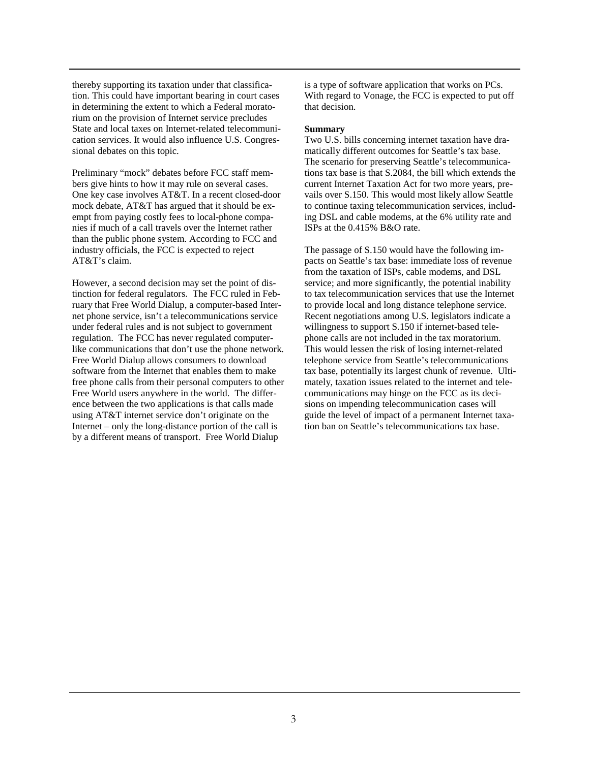thereby supporting its taxation under that classification. This could have important bearing in court cases in determining the extent to which a Federal moratorium on the provision of Internet service precludes State and local taxes on Internet-related telecommunication services. It would also influence U.S. Congressional debates on this topic.

Preliminary "mock" debates before FCC staff members give hints to how it may rule on several cases. One key case involves AT&T. In a recent closed-door mock debate, AT&T has argued that it should be exempt from paying costly fees to local-phone companies if much of a call travels over the Internet rather than the public phone system. According to FCC and industry officials, the FCC is expected to reject AT&T's claim.

However, a second decision may set the point of distinction for federal regulators. The FCC ruled in February that Free World Dialup, a computer-based Internet phone service, isn't a telecommunications service under federal rules and is not subject to government regulation. The FCC has never regulated computerlike communications that don't use the phone network. Free World Dialup allows consumers to download software from the Internet that enables them to make free phone calls from their personal computers to other Free World users anywhere in the world. The difference between the two applications is that calls made using AT&T internet service don't originate on the Internet – only the long-distance portion of the call is by a different means of transport. Free World Dialup

is a type of software application that works on PCs. With regard to Vonage, the FCC is expected to put off that decision.

#### **Summary**

Two U.S. bills concerning internet taxation have dramatically different outcomes for Seattle's tax base. The scenario for preserving Seattle's telecommunications tax base is that S.2084, the bill which extends the current Internet Taxation Act for two more years, prevails over S.150. This would most likely allow Seattle to continue taxing telecommunication services, including DSL and cable modems, at the 6% utility rate and ISPs at the 0.415% B&O rate.

The passage of S.150 would have the following impacts on Seattle's tax base: immediate loss of revenue from the taxation of ISPs, cable modems, and DSL service; and more significantly, the potential inability to tax telecommunication services that use the Internet to provide local and long distance telephone service. Recent negotiations among U.S. legislators indicate a willingness to support S.150 if internet-based telephone calls are not included in the tax moratorium. This would lessen the risk of losing internet-related telephone service from Seattle's telecommunications tax base, potentially its largest chunk of revenue. Ultimately, taxation issues related to the internet and telecommunications may hinge on the FCC as its decisions on impending telecommunication cases will guide the level of impact of a permanent Internet taxation ban on Seattle's telecommunications tax base.